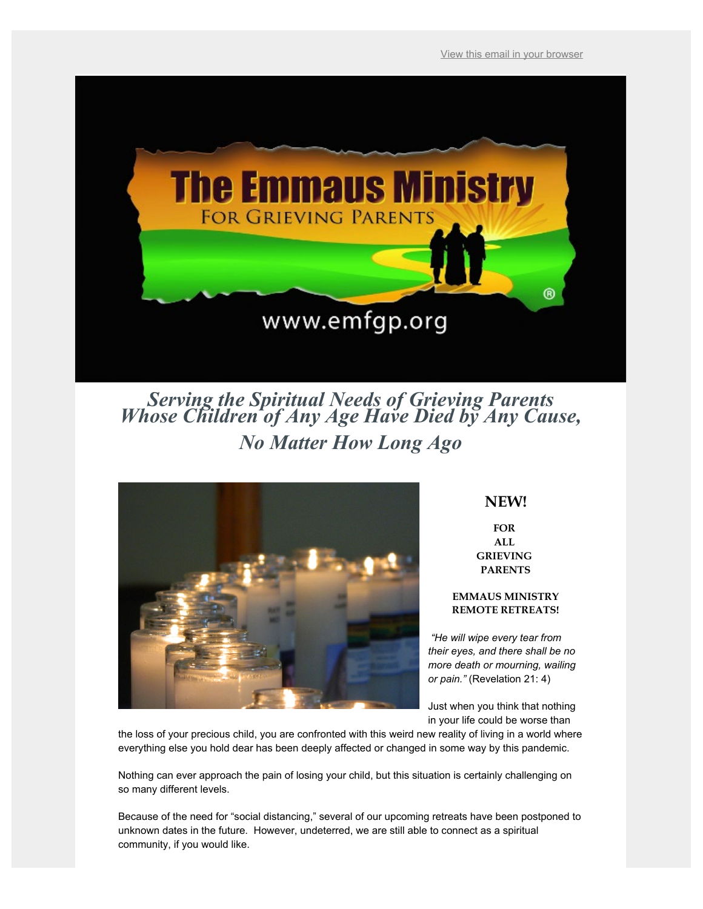View this email in your browser



*Serving the Spiritual Needs of Grieving Parents Whose Children of Any Age Have Died by Any Cause, No Matter How Long Ago*



# **NEW!**

**FOR ALL GRIEVING PARENTS**

# **EMMAUS MINISTRY REMOTE RETREATS!**

*"He will wipe every tear from their eyes, and there shall be no more death or mourning, wailing or pain."* (Revelation 21: 4)

Just when you think that nothing in your life could be worse than

the loss of your precious child, you are confronted with this weird new reality of living in a world where everything else you hold dear has been deeply affected or changed in some way by this pandemic.

Nothing can ever approach the pain of losing your child, but this situation is certainly challenging on so many different levels.

Because of the need for "social distancing," several of our upcoming retreats have been postponed to unknown dates in the future. However, undeterred, we are still able to connect as a spiritual community, if you would like.